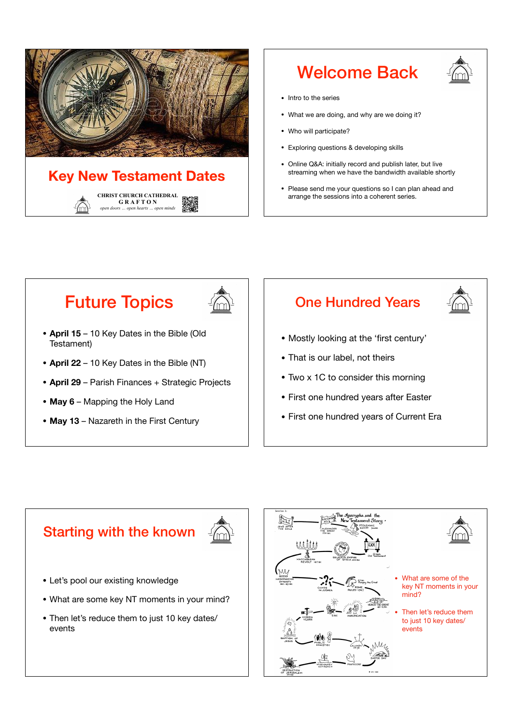

## Welcome Back



- Intro to the series
- What we are doing, and why are we doing it?
- Who will participate?
- Exploring questions & developing skills
- Online Q&A: initially record and publish later, but live streaming when we have the bandwidth available shortly
- Please send me your questions so I can plan ahead and arrange the sessions into a coherent series.

# Future Topics



- **April 15**  10 Key Dates in the Bible (Old Testament)
- **April 22**  10 Key Dates in the Bible (NT)
- **April 29**  Parish Finances + Strategic Projects
- **May 6** Mapping the Holy Land
- **May 13** Nazareth in the First Century

## One Hundred Years

- Mostly looking at the 'first century'
- That is our label, not theirs
- Two x 1C to consider this morning
- First one hundred years after Easter
- First one hundred years of Current Era

### Starting with the known



- Let's pool our existing knowledge
- What are some key NT moments in your mind?
- Then let's reduce them to just 10 key dates/ events